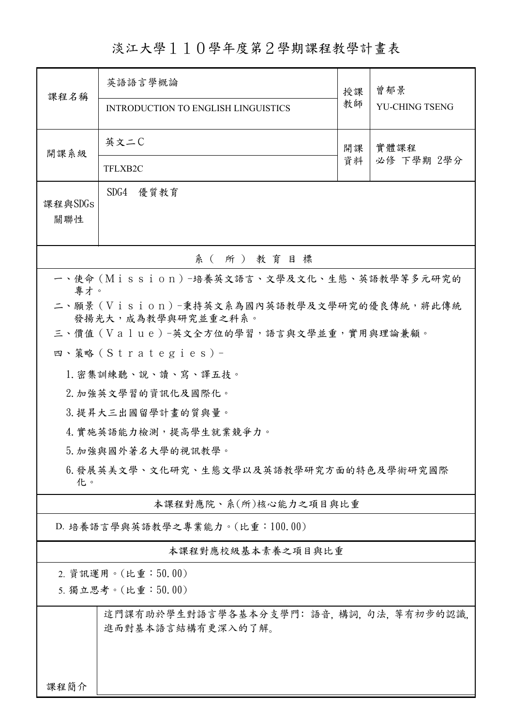淡江大學110學年度第2學期課程教學計畫表

| 課程名稱                                                                  | 英語語言學概論                                                    | 授課<br>教師 | 曾郁景                |  |  |  |
|-----------------------------------------------------------------------|------------------------------------------------------------|----------|--------------------|--|--|--|
|                                                                       | INTRODUCTION TO ENGLISH LINGUISTICS                        |          | YU-CHING TSENG     |  |  |  |
| 開課系級                                                                  | 英文二C                                                       | 開課       | 實體課程<br>必修 下學期 2學分 |  |  |  |
|                                                                       | TFLXB2C                                                    | 資料       |                    |  |  |  |
| 課程與SDGs<br>關聯性                                                        | SDG4<br>優質教育                                               |          |                    |  |  |  |
| 系(所)教育目標                                                              |                                                            |          |                    |  |  |  |
|                                                                       | 一、使命 (Mission) -培養英文語言、文學及文化、生態、英語教學等多元研究的                 |          |                    |  |  |  |
| 專才。<br>二、願景(Vision)-秉持英文系為國內英語教學及文學研究的優良傳統,將此傳統<br>發揚光大,成為教學與研究並重之科系。 |                                                            |          |                    |  |  |  |
|                                                                       | 三、價值 (Value)-英文全方位的學習,語言與文學並重,實用與理論兼顧。                     |          |                    |  |  |  |
|                                                                       | 四、策略 (Strategies) -                                        |          |                    |  |  |  |
| 1. 密集訓練聽、說、讀、寫、譯五技。                                                   |                                                            |          |                    |  |  |  |
| 2. 加強英文學習的資訊化及國際化。                                                    |                                                            |          |                    |  |  |  |
| 3. 提昇大三出國留學計畫的質與量。                                                    |                                                            |          |                    |  |  |  |
| 4. 實施英語能力檢測,提高學生就業競爭力。                                                |                                                            |          |                    |  |  |  |
| 5. 加強與國外著名大學的視訊教學。                                                    |                                                            |          |                    |  |  |  |
| 6.發展英美文學、文化研究、生態文學以及英語教學研究方面的特色及學術研究國際<br>化。                          |                                                            |          |                    |  |  |  |
|                                                                       | 本課程對應院、系(所)核心能力之項目與比重                                      |          |                    |  |  |  |
|                                                                       | D. 培養語言學與英語教學之專業能力。(比重:100.00)                             |          |                    |  |  |  |
|                                                                       | 本課程對應校級基本素養之項目與比重                                          |          |                    |  |  |  |
| 2. 資訊運用。(比重:50.00)                                                    |                                                            |          |                    |  |  |  |
| 5. 獨立思考。(比重:50.00)                                                    |                                                            |          |                    |  |  |  |
|                                                                       | 這門課有助於學生對語言學各基本分支學門:語音,構詞,句法,等有初步的認識,<br>進而對基本語言結構有更深入的了解。 |          |                    |  |  |  |
|                                                                       |                                                            |          |                    |  |  |  |
| 课程简介                                                                  |                                                            |          |                    |  |  |  |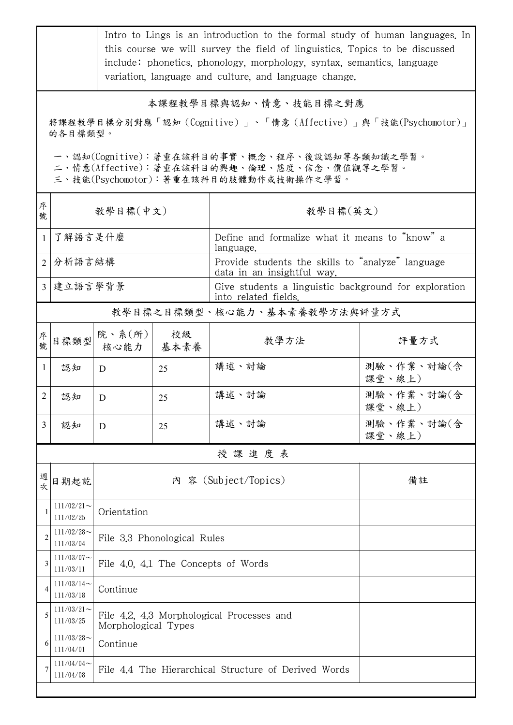|                | Intro to Lings is an introduction to the formal study of human languages. In<br>this course we will survey the field of linguistics. Topics to be discussed<br>include: phonetics, phonology, morphology, syntax, semantics, language<br>variation, language and culture, and language change. |                                                                  |                                     |                                                                                 |                      |  |  |
|----------------|------------------------------------------------------------------------------------------------------------------------------------------------------------------------------------------------------------------------------------------------------------------------------------------------|------------------------------------------------------------------|-------------------------------------|---------------------------------------------------------------------------------|----------------------|--|--|
|                | 本課程教學目標與認知、情意、技能目標之對應<br>將課程教學目標分別對應「認知(Cognitive)」、「情意(Affective)」與「技能(Psychomotor)」                                                                                                                                                                                                          |                                                                  |                                     |                                                                                 |                      |  |  |
|                | 的各目標類型。                                                                                                                                                                                                                                                                                        |                                                                  |                                     |                                                                                 |                      |  |  |
|                | 一、認知(Cognitive):著重在該科目的事實、概念、程序、後設認知等各類知識之學習。<br>二、情意(Affective):著重在該科目的興趣、倫理、態度、信念、價值觀等之學習。<br>三、技能(Psychomotor): 著重在該科目的肢體動作或技術操作之學習。                                                                                                                                                        |                                                                  |                                     |                                                                                 |                      |  |  |
| 序<br>號         | 教學目標(中文)                                                                                                                                                                                                                                                                                       |                                                                  |                                     | 教學目標(英文)                                                                        |                      |  |  |
| $\mathbf{1}$   |                                                                                                                                                                                                                                                                                                | 了解語言是什麼                                                          |                                     | Define and formalize what it means to "know" a<br>language.                     |                      |  |  |
|                | 2 分析語言結構                                                                                                                                                                                                                                                                                       |                                                                  |                                     | Provide students the skills to "analyze" language<br>data in an insightful way. |                      |  |  |
|                |                                                                                                                                                                                                                                                                                                | 3   建立語言學背景                                                      |                                     | Give students a linguistic background for exploration<br>into related fields.   |                      |  |  |
|                |                                                                                                                                                                                                                                                                                                |                                                                  |                                     | 教學目標之目標類型、核心能力、基本素養教學方法與評量方式                                                    |                      |  |  |
| 序<br>號.        | 目標類型                                                                                                                                                                                                                                                                                           | 院、系(所)<br>核心能力                                                   | 校級<br>基本素養                          | 教學方法                                                                            | 評量方式                 |  |  |
| $\mathbf{1}$   | 認知                                                                                                                                                                                                                                                                                             | D                                                                | 25                                  | 講述、討論                                                                           | 測驗、作業、討論(含<br>課堂、線上) |  |  |
| $\overline{2}$ | 認知                                                                                                                                                                                                                                                                                             | D                                                                | 25                                  | 講述、討論                                                                           | 測驗、作業、討論(含<br>課堂、線上) |  |  |
| 3              | 認知                                                                                                                                                                                                                                                                                             | D                                                                | 25                                  | 講述、討論                                                                           | 測驗、作業、討論(含<br>課堂、線上) |  |  |
|                | 授課進度表                                                                                                                                                                                                                                                                                          |                                                                  |                                     |                                                                                 |                      |  |  |
| 週<br>次         | 日期起訖                                                                                                                                                                                                                                                                                           | 內 容 (Subject/Topics)<br>備註                                       |                                     |                                                                                 |                      |  |  |
|                | $111/02/21$ ~<br>111/02/25                                                                                                                                                                                                                                                                     | Orientation                                                      |                                     |                                                                                 |                      |  |  |
| $\overline{2}$ | $111/02/28$ ~<br>111/03/04                                                                                                                                                                                                                                                                     | File 3.3 Phonological Rules                                      |                                     |                                                                                 |                      |  |  |
| 3              | $111/03/07$ ~<br>111/03/11                                                                                                                                                                                                                                                                     |                                                                  | File 4.0, 4.1 The Concepts of Words |                                                                                 |                      |  |  |
| 4              | $111/03/14$ ~<br>111/03/18                                                                                                                                                                                                                                                                     | Continue                                                         |                                     |                                                                                 |                      |  |  |
| 5              | $111/03/21$ ~<br>111/03/25                                                                                                                                                                                                                                                                     | File 4.2, 4.3 Morphological Processes and<br>Morphological Types |                                     |                                                                                 |                      |  |  |
| 6              | $111/03/28$ ~<br>111/04/01                                                                                                                                                                                                                                                                     | Continue                                                         |                                     |                                                                                 |                      |  |  |
| 7              | $111/04/04$ ~<br>File 4.4 The Hierarchical Structure of Derived Words<br>111/04/08                                                                                                                                                                                                             |                                                                  |                                     |                                                                                 |                      |  |  |